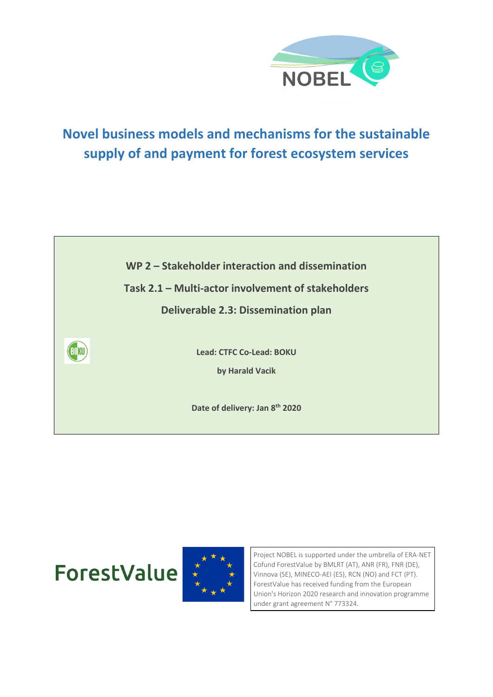

# **Novel business models and mechanisms for the sustainable supply of and payment for forest ecosystem services**



**ForestValue** 



Project NOBEL is supported under the umbrella of ERA-NET Cofund ForestValue by BMLRT (AT), ANR (FR), FNR (DE), Vinnova (SE), MINECO-AEI (ES), RCN (NO) and FCT (PT). ForestValue has received funding from the European Union's Horizon 2020 research and innovation programme under grant agreement N° 773324.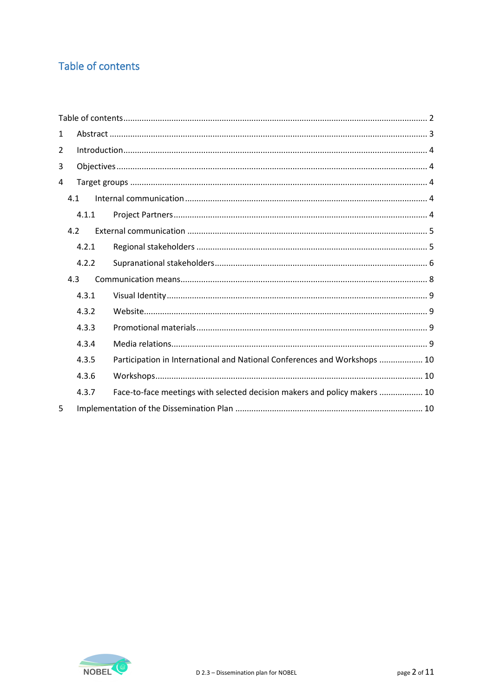## <span id="page-1-0"></span>Table of contents

| 1   |       |  |                                                                           |  |  |
|-----|-------|--|---------------------------------------------------------------------------|--|--|
| 2   |       |  |                                                                           |  |  |
| 3   |       |  |                                                                           |  |  |
| 4   |       |  |                                                                           |  |  |
| 4.1 |       |  |                                                                           |  |  |
|     | 4.1.1 |  |                                                                           |  |  |
|     | 4.2   |  |                                                                           |  |  |
|     | 4.2.1 |  |                                                                           |  |  |
|     | 4.2.2 |  |                                                                           |  |  |
|     | 4.3   |  |                                                                           |  |  |
|     | 4.3.1 |  |                                                                           |  |  |
|     | 4.3.2 |  |                                                                           |  |  |
|     | 4.3.3 |  |                                                                           |  |  |
|     | 4.3.4 |  |                                                                           |  |  |
|     | 4.3.5 |  | Participation in International and National Conferences and Workshops  10 |  |  |
|     | 4.3.6 |  |                                                                           |  |  |
|     | 4.3.7 |  | Face-to-face meetings with selected decision makers and policy makers  10 |  |  |
| 5   |       |  |                                                                           |  |  |

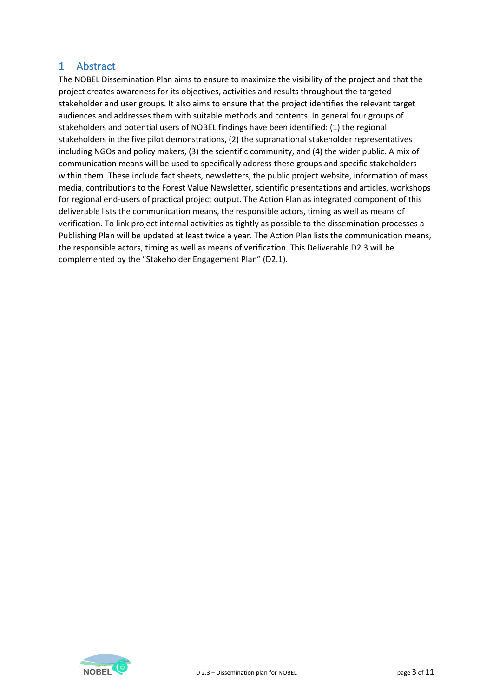## <span id="page-2-0"></span>1 Abstract

The NOBEL Dissemination Plan aims to ensure to maximize the visibility of the project and that the project creates awareness for its objectives, activities and results throughout the targeted stakeholder and user groups. It also aims to ensure that the project identifies the relevant target audiences and addresses them with suitable methods and contents. In general four groups of stakeholders and potential users of NOBEL findings have been identified: (1) the regional stakeholders in the five pilot demonstrations, (2) the supranational stakeholder representatives including NGOs and policy makers, (3) the scientific community, and (4) the wider public. A mix of communication means will be used to specifically address these groups and specific stakeholders within them. These include fact sheets, newsletters, the public project website, information of mass media, contributions to the Forest Value Newsletter, scientific presentations and articles, workshops for regional end-users of practical project output. The Action Plan as integrated component of this deliverable lists the communication means, the responsible actors, timing as well as means of verification. To link project internal activities as tightly as possible to the dissemination processes a Publishing Plan will be updated at least twice a year. The Action Plan lists the communication means, the responsible actors, timing as well as means of verification. This Deliverable D2.3 will be complemented by the "Stakeholder Engagement Plan" (D2.1).

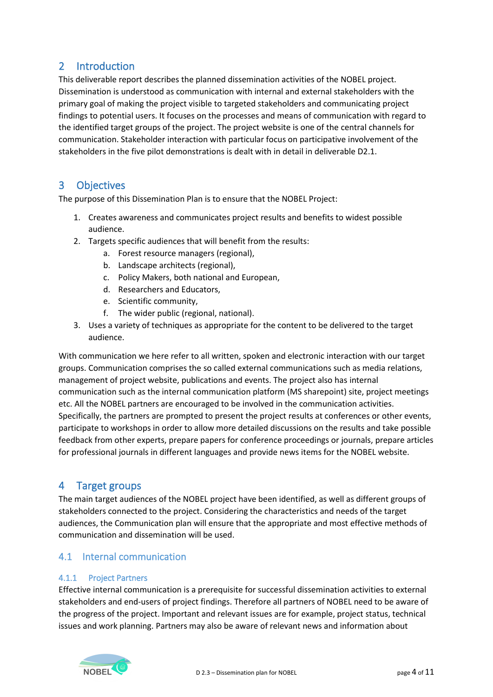## <span id="page-3-0"></span>2 Introduction

This deliverable report describes the planned dissemination activities of the NOBEL project. Dissemination is understood as communication with internal and external stakeholders with the primary goal of making the project visible to targeted stakeholders and communicating project findings to potential users. It focuses on the processes and means of communication with regard to the identified target groups of the project. The project website is one of the central channels for communication. Stakeholder interaction with particular focus on participative involvement of the stakeholders in the five pilot demonstrations is dealt with in detail in deliverable D2.1.

## <span id="page-3-1"></span>3 Objectives

The purpose of this Dissemination Plan is to ensure that the NOBEL Project:

- 1. Creates awareness and communicates project results and benefits to widest possible audience.
- 2. Targets specific audiences that will benefit from the results:
	- a. Forest resource managers (regional),
	- b. Landscape architects (regional),
	- c. Policy Makers, both national and European,
	- d. Researchers and Educators,
	- e. Scientific community,
	- f. The wider public (regional, national).
- 3. Uses a variety of techniques as appropriate for the content to be delivered to the target audience.

With communication we here refer to all written, spoken and electronic interaction with our target groups. Communication comprises the so called external communications such as media relations, management of project website, publications and events. The project also has internal communication such as the internal communication platform (MS sharepoint) site, project meetings etc. All the NOBEL partners are encouraged to be involved in the communication activities. Specifically, the partners are prompted to present the project results at conferences or other events, participate to workshops in order to allow more detailed discussions on the results and take possible feedback from other experts, prepare papers for conference proceedings or journals, prepare articles for professional journals in different languages and provide news items for the NOBEL website.

## <span id="page-3-2"></span>4 Target groups

The main target audiences of the NOBEL project have been identified, as well as different groups of stakeholders connected to the project. Considering the characteristics and needs of the target audiences, the Communication plan will ensure that the appropriate and most effective methods of communication and dissemination will be used.

## <span id="page-3-3"></span>4.1 Internal communication

#### <span id="page-3-4"></span>4.1.1 Project Partners

Effective internal communication is a prerequisite for successful dissemination activities to external stakeholders and end‐users of project findings. Therefore all partners of NOBEL need to be aware of the progress of the project. Important and relevant issues are for example, project status, technical issues and work planning. Partners may also be aware of relevant news and information about

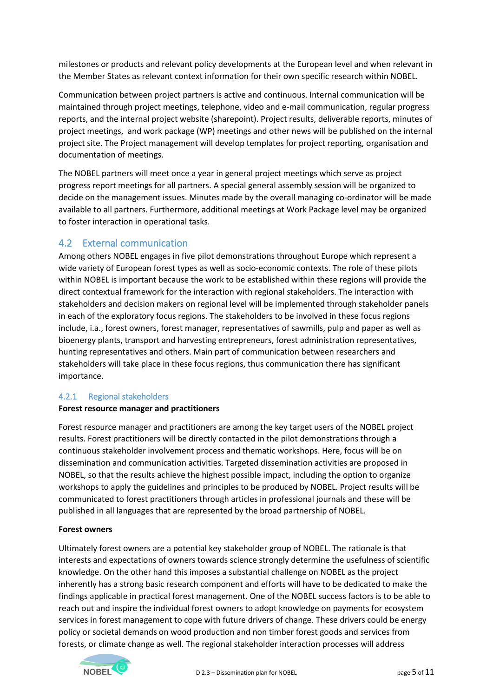milestones or products and relevant policy developments at the European level and when relevant in the Member States as relevant context information for their own specific research within NOBEL.

Communication between project partners is active and continuous. Internal communication will be maintained through project meetings, telephone, video and e‐mail communication, regular progress reports, and the internal project website (sharepoint). Project results, deliverable reports, minutes of project meetings, and work package (WP) meetings and other news will be published on the internal project site. The Project management will develop templates for project reporting, organisation and documentation of meetings.

The NOBEL partners will meet once a year in general project meetings which serve as project progress report meetings for all partners. A special general assembly session will be organized to decide on the management issues. Minutes made by the overall managing co-ordinator will be made available to all partners. Furthermore, additional meetings at Work Package level may be organized to foster interaction in operational tasks.

## <span id="page-4-0"></span>4.2 External communication

Among others NOBEL engages in five pilot demonstrations throughout Europe which represent a wide variety of European forest types as well as socio-economic contexts. The role of these pilots within NOBEL is important because the work to be established within these regions will provide the direct contextual framework for the interaction with regional stakeholders. The interaction with stakeholders and decision makers on regional level will be implemented through stakeholder panels in each of the exploratory focus regions. The stakeholders to be involved in these focus regions include, i.a., forest owners, forest manager, representatives of sawmills, pulp and paper as well as bioenergy plants, transport and harvesting entrepreneurs, forest administration representatives, hunting representatives and others. Main part of communication between researchers and stakeholders will take place in these focus regions, thus communication there has significant importance.

#### <span id="page-4-1"></span>4.2.1 Regional stakeholders

#### **Forest resource manager and practitioners**

Forest resource manager and practitioners are among the key target users of the NOBEL project results. Forest practitioners will be directly contacted in the pilot demonstrations through a continuous stakeholder involvement process and thematic workshops. Here, focus will be on dissemination and communication activities. Targeted dissemination activities are proposed in NOBEL, so that the results achieve the highest possible impact, including the option to organize workshops to apply the guidelines and principles to be produced by NOBEL. Project results will be communicated to forest practitioners through articles in professional journals and these will be published in all languages that are represented by the broad partnership of NOBEL.

#### **Forest owners**

Ultimately forest owners are a potential key stakeholder group of NOBEL. The rationale is that interests and expectations of owners towards science strongly determine the usefulness of scientific knowledge. On the other hand this imposes a substantial challenge on NOBEL as the project inherently has a strong basic research component and efforts will have to be dedicated to make the findings applicable in practical forest management. One of the NOBEL success factors is to be able to reach out and inspire the individual forest owners to adopt knowledge on payments for ecosystem services in forest management to cope with future drivers of change. These drivers could be energy policy or societal demands on wood production and non timber forest goods and services from forests, or climate change as well. The regional stakeholder interaction processes will address

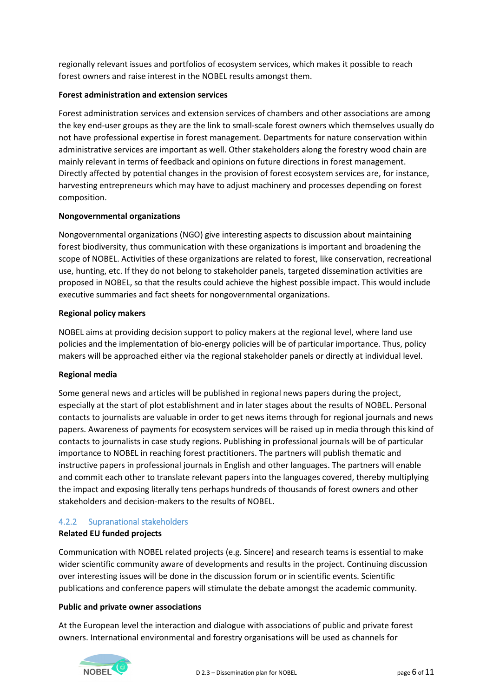regionally relevant issues and portfolios of ecosystem services, which makes it possible to reach forest owners and raise interest in the NOBEL results amongst them.

#### **Forest administration and extension services**

Forest administration services and extension services of chambers and other associations are among the key end‐user groups as they are the link to small‐scale forest owners which themselves usually do not have professional expertise in forest management. Departments for nature conservation within administrative services are important as well. Other stakeholders along the forestry wood chain are mainly relevant in terms of feedback and opinions on future directions in forest management. Directly affected by potential changes in the provision of forest ecosystem services are, for instance, harvesting entrepreneurs which may have to adjust machinery and processes depending on forest composition.

#### **Nongovernmental organizations**

Nongovernmental organizations (NGO) give interesting aspects to discussion about maintaining forest biodiversity, thus communication with these organizations is important and broadening the scope of NOBEL. Activities of these organizations are related to forest, like conservation, recreational use, hunting, etc. If they do not belong to stakeholder panels, targeted dissemination activities are proposed in NOBEL, so that the results could achieve the highest possible impact. This would include executive summaries and fact sheets for nongovernmental organizations.

#### **Regional policy makers**

NOBEL aims at providing decision support to policy makers at the regional level, where land use policies and the implementation of bio‐energy policies will be of particular importance. Thus, policy makers will be approached either via the regional stakeholder panels or directly at individual level.

#### **Regional media**

Some general news and articles will be published in regional news papers during the project, especially at the start of plot establishment and in later stages about the results of NOBEL. Personal contacts to journalists are valuable in order to get news items through for regional journals and news papers. Awareness of payments for ecosystem services will be raised up in media through this kind of contacts to journalists in case study regions. Publishing in professional journals will be of particular importance to NOBEL in reaching forest practitioners. The partners will publish thematic and instructive papers in professional journals in English and other languages. The partners will enable and commit each other to translate relevant papers into the languages covered, thereby multiplying the impact and exposing literally tens perhaps hundreds of thousands of forest owners and other stakeholders and decision‐makers to the results of NOBEL.

## <span id="page-5-0"></span>4.2.2 Supranational stakeholders

## **Related EU funded projects**

Communication with NOBEL related projects (e.g. Sincere) and research teams is essential to make wider scientific community aware of developments and results in the project. Continuing discussion over interesting issues will be done in the discussion forum or in scientific events. Scientific publications and conference papers will stimulate the debate amongst the academic community.

#### **Public and private owner associations**

At the European level the interaction and dialogue with associations of public and private forest owners. International environmental and forestry organisations will be used as channels for

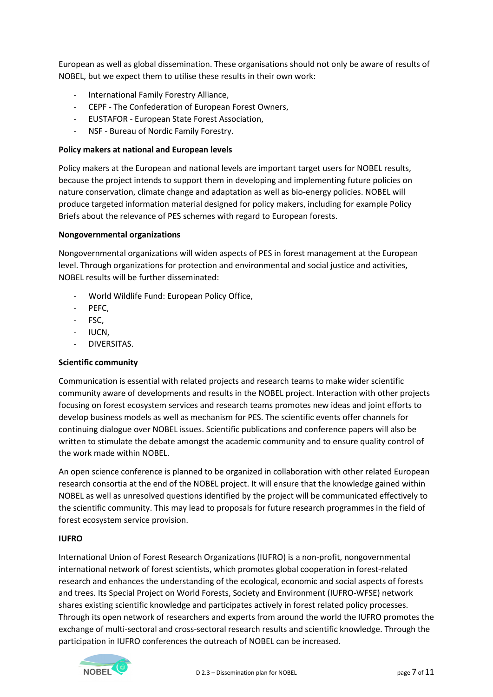European as well as global dissemination. These organisations should not only be aware of results of NOBEL, but we expect them to utilise these results in their own work:

- International Family Forestry Alliance,
- CEPF ‐ The Confederation of European Forest Owners,
- EUSTAFOR ‐ European State Forest Association,
- NSF ‐ Bureau of Nordic Family Forestry.

#### **Policy makers at national and European levels**

Policy makers at the European and national levels are important target users for NOBEL results, because the project intends to support them in developing and implementing future policies on nature conservation, climate change and adaptation as well as bio‐energy policies. NOBEL will produce targeted information material designed for policy makers, including for example Policy Briefs about the relevance of PES schemes with regard to European forests.

#### **Nongovernmental organizations**

Nongovernmental organizations will widen aspects of PES in forest management at the European level. Through organizations for protection and environmental and social justice and activities, NOBEL results will be further disseminated:

- World Wildlife Fund: European Policy Office,
- PEFC,
- FSC,
- IUCN,
- DIVERSITAS.

#### **Scientific community**

Communication is essential with related projects and research teams to make wider scientific community aware of developments and results in the NOBEL project. Interaction with other projects focusing on forest ecosystem services and research teams promotes new ideas and joint efforts to develop business models as well as mechanism for PES. The scientific events offer channels for continuing dialogue over NOBEL issues. Scientific publications and conference papers will also be written to stimulate the debate amongst the academic community and to ensure quality control of the work made within NOBEL.

An open science conference is planned to be organized in collaboration with other related European research consortia at the end of the NOBEL project. It will ensure that the knowledge gained within NOBEL as well as unresolved questions identified by the project will be communicated effectively to the scientific community. This may lead to proposals for future research programmes in the field of forest ecosystem service provision.

#### **IUFRO**

International Union of Forest Research Organizations (IUFRO) is a non‐profit, nongovernmental international network of forest scientists, which promotes global cooperation in forest‐related research and enhances the understanding of the ecological, economic and social aspects of forests and trees. Its Special Project on World Forests, Society and Environment (IUFRO‐WFSE) network shares existing scientific knowledge and participates actively in forest related policy processes. Through its open network of researchers and experts from around the world the IUFRO promotes the exchange of multi-sectoral and cross-sectoral research results and scientific knowledge. Through the participation in IUFRO conferences the outreach of NOBEL can be increased.

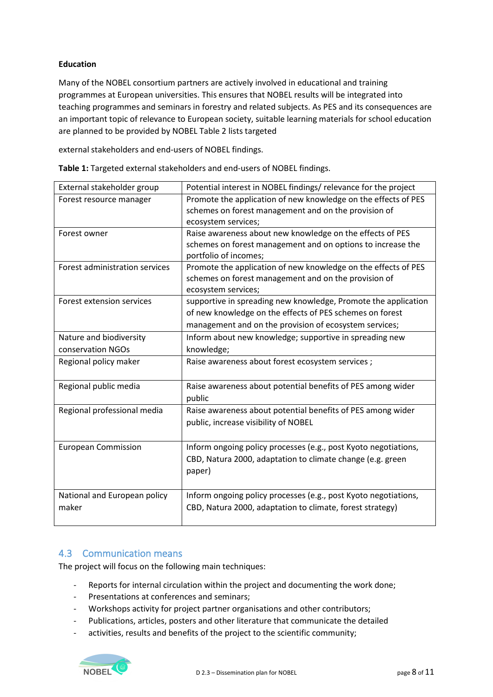#### **Education**

Many of the NOBEL consortium partners are actively involved in educational and training programmes at European universities. This ensures that NOBEL results will be integrated into teaching programmes and seminars in forestry and related subjects. As PES and its consequences are an important topic of relevance to European society, suitable learning materials for school education are planned to be provided by NOBEL Table 2 lists targeted

external stakeholders and end‐users of NOBEL findings.

| External stakeholder group     | Potential interest in NOBEL findings/ relevance for the project |
|--------------------------------|-----------------------------------------------------------------|
| Forest resource manager        | Promote the application of new knowledge on the effects of PES  |
|                                | schemes on forest management and on the provision of            |
|                                | ecosystem services;                                             |
| Forest owner                   | Raise awareness about new knowledge on the effects of PES       |
|                                | schemes on forest management and on options to increase the     |
|                                | portfolio of incomes;                                           |
| Forest administration services | Promote the application of new knowledge on the effects of PES  |
|                                | schemes on forest management and on the provision of            |
|                                | ecosystem services;                                             |
| Forest extension services      | supportive in spreading new knowledge, Promote the application  |
|                                | of new knowledge on the effects of PES schemes on forest        |
|                                | management and on the provision of ecosystem services;          |
| Nature and biodiversity        | Inform about new knowledge; supportive in spreading new         |
| conservation NGOs              | knowledge;                                                      |
| Regional policy maker          | Raise awareness about forest ecosystem services;                |
|                                |                                                                 |
| Regional public media          | Raise awareness about potential benefits of PES among wider     |
|                                | public                                                          |
| Regional professional media    | Raise awareness about potential benefits of PES among wider     |
|                                | public, increase visibility of NOBEL                            |
|                                |                                                                 |
| <b>European Commission</b>     | Inform ongoing policy processes (e.g., post Kyoto negotiations, |
|                                | CBD, Natura 2000, adaptation to climate change (e.g. green      |
|                                | paper)                                                          |
|                                |                                                                 |
|                                |                                                                 |
| National and European policy   | Inform ongoing policy processes (e.g., post Kyoto negotiations, |
| maker                          | CBD, Natura 2000, adaptation to climate, forest strategy)       |
|                                |                                                                 |

**Table 1:** Targeted external stakeholders and end‐users of NOBEL findings.

## <span id="page-7-0"></span>4.3 Communication means

The project will focus on the following main techniques:

- Reports for internal circulation within the project and documenting the work done;
- Presentations at conferences and seminars;
- Workshops activity for project partner organisations and other contributors;
- Publications, articles, posters and other literature that communicate the detailed
- activities, results and benefits of the project to the scientific community;

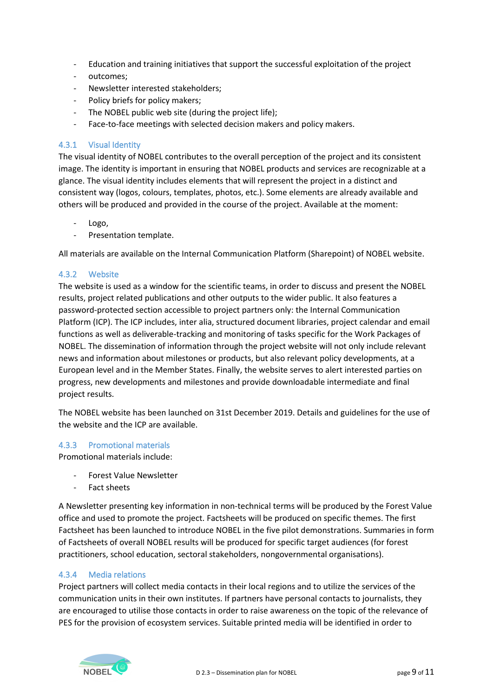- Education and training initiatives that support the successful exploitation of the project
- outcomes:
- Newsletter interested stakeholders;
- Policy briefs for policy makers;
- The NOBEL public web site (during the project life);
- Face‐to‐face meetings with selected decision makers and policy makers.

#### <span id="page-8-0"></span>4.3.1 Visual Identity

The visual identity of NOBEL contributes to the overall perception of the project and its consistent image. The identity is important in ensuring that NOBEL products and services are recognizable at a glance. The visual identity includes elements that will represent the project in a distinct and consistent way (logos, colours, templates, photos, etc.). Some elements are already available and others will be produced and provided in the course of the project. Available at the moment:

- Logo,
- Presentation template.

All materials are available on the Internal Communication Platform (Sharepoint) of NOBEL website.

#### <span id="page-8-1"></span>4.3.2 Website

The website is used as a window for the scientific teams, in order to discuss and present the NOBEL results, project related publications and other outputs to the wider public. It also features a password‐protected section accessible to project partners only: the Internal Communication Platform (ICP). The ICP includes, inter alia, structured document libraries, project calendar and email functions as well as deliverable‐tracking and monitoring of tasks specific for the Work Packages of NOBEL. The dissemination of information through the project website will not only include relevant news and information about milestones or products, but also relevant policy developments, at a European level and in the Member States. Finally, the website serves to alert interested parties on progress, new developments and milestones and provide downloadable intermediate and final project results.

The NOBEL website has been launched on 31st December 2019. Details and guidelines for the use of the website and the ICP are available.

#### <span id="page-8-2"></span>4.3.3 Promotional materials

Promotional materials include:

- Forest Value Newsletter
- Fact sheets

A Newsletter presenting key information in non‐technical terms will be produced by the Forest Value office and used to promote the project. Factsheets will be produced on specific themes. The first Factsheet has been launched to introduce NOBEL in the five pilot demonstrations. Summaries in form of Factsheets of overall NOBEL results will be produced for specific target audiences (for forest practitioners, school education, sectoral stakeholders, nongovernmental organisations).

#### <span id="page-8-3"></span>4.3.4 Media relations

Project partners will collect media contacts in their local regions and to utilize the services of the communication units in their own institutes. If partners have personal contacts to journalists, they are encouraged to utilise those contacts in order to raise awareness on the topic of the relevance of PES for the provision of ecosystem services. Suitable printed media will be identified in order to

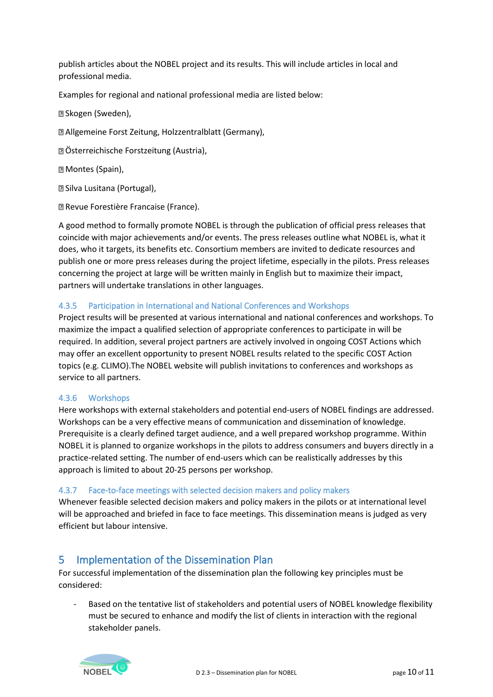publish articles about the NOBEL project and its results. This will include articles in local and professional media.

Examples for regional and national professional media are listed below:

Skogen (Sweden),

Allgemeine Forst Zeitung, Holzzentralblatt (Germany),

Österreichische Forstzeitung (Austria),

**Z Montes (Spain),** 

Silva Lusitana (Portugal),

Revue Forestière Francaise (France).

A good method to formally promote NOBEL is through the publication of official press releases that coincide with major achievements and/or events. The press releases outline what NOBEL is, what it does, who it targets, its benefits etc. Consortium members are invited to dedicate resources and publish one or more press releases during the project lifetime, especially in the pilots. Press releases concerning the project at large will be written mainly in English but to maximize their impact, partners will undertake translations in other languages.

#### <span id="page-9-0"></span>4.3.5 Participation in International and National Conferences and Workshops

Project results will be presented at various international and national conferences and workshops. To maximize the impact a qualified selection of appropriate conferences to participate in will be required. In addition, several project partners are actively involved in ongoing COST Actions which may offer an excellent opportunity to present NOBEL results related to the specific COST Action topics (e.g. CLIMO).The NOBEL website will publish invitations to conferences and workshops as service to all partners.

#### <span id="page-9-1"></span>4.3.6 Workshops

Here workshops with external stakeholders and potential end‐users of NOBEL findings are addressed. Workshops can be a very effective means of communication and dissemination of knowledge. Prerequisite is a clearly defined target audience, and a well prepared workshop programme. Within NOBEL it is planned to organize workshops in the pilots to address consumers and buyers directly in a practice‐related setting. The number of end‐users which can be realistically addresses by this approach is limited to about 20‐25 persons per workshop.

#### <span id="page-9-2"></span>4.3.7 Face‐to‐face meetings with selected decision makers and policy makers

Whenever feasible selected decision makers and policy makers in the pilots or at international level will be approached and briefed in face to face meetings. This dissemination means is judged as very efficient but labour intensive.

## <span id="page-9-3"></span>5 Implementation of the Dissemination Plan

For successful implementation of the dissemination plan the following key principles must be considered:

Based on the tentative list of stakeholders and potential users of NOBEL knowledge flexibility must be secured to enhance and modify the list of clients in interaction with the regional stakeholder panels.